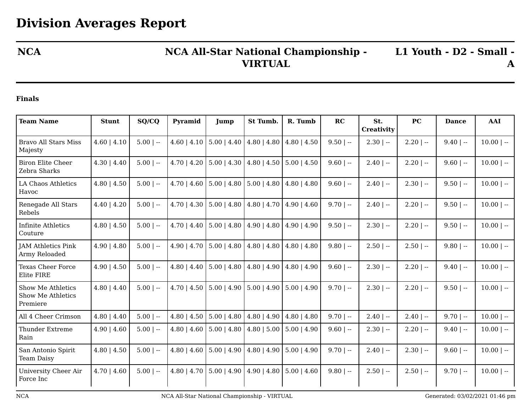## **NCA NCA All-Star National Championship - VIRTUAL**

**L1 Youth - D2 - Small - A**

## **Finals**

| <b>Team Name</b>                                   | <b>Stunt</b>     | SQ/CQ       | Pyramid         | Jump                                                | St Tumb.                          | R. Tumb          | RC          | St.               | <b>PC</b>    | <b>Dance</b> | AAI          |
|----------------------------------------------------|------------------|-------------|-----------------|-----------------------------------------------------|-----------------------------------|------------------|-------------|-------------------|--------------|--------------|--------------|
|                                                    |                  |             |                 |                                                     |                                   |                  |             | <b>Creativity</b> |              |              |              |
| <b>Bravo All Stars Miss</b><br>Majesty             | $4.60$   $4.10$  | $5.00$   -- | $4.60$   $4.10$ | $5.00$   $4.40$                                     | $4.80$   $4.80$                   | $4.80$   $4.50$  | $9.50$   -- | $2.30$   --       | $2.20$   --  | $9.40$   --  | $10.00$   -- |
| <b>Biron Elite Cheer</b><br>Zebra Sharks           | $4.30 \mid 4.40$ | $5.00$   -- | $4.70$   $4.20$ | $5.00$   4.30                                       | $4.80$   $4.50$   $5.00$   $4.50$ |                  | $9.60$   -- | $2.40$   --       | $2.20$   --  | $9.60$   --  | $10.00$   -- |
| LA Chaos Athletics<br>Havoc                        | $4.80$   $4.50$  | $5.00$   -- | $4.70$   $4.60$ | $5.00 \mid 4.80 \mid 5.00 \mid 4.80$                |                                   | $4.80$   4.80    | $9.60$   -- | $2.40$   $-$      | $2.30$   --  | $9.50$   --  | $10.00$   -- |
| Renegade All Stars<br>Rebels                       | $4.40$   $4.20$  | $5.00$   -- | $4.70$   $4.30$ | $5.00$   4.80                                       | $4.80$   $4.70$                   | $4.90 \mid 4.60$ | $9.70$   -- | $2.40$   $-$      | $2.20$   $-$ | $9.50$   --  | $10.00$   -- |
| <b>Infinite Athletics</b><br>Couture               | $4.80$   $4.50$  | $5.00$   -- |                 | $4.70 \mid 4.40 \mid 5.00 \mid 4.80$                | $4.90 \mid 4.80$                  | $4.90$   4.90    | $9.50$   -- | $2.30$   --       | $2.20$   --  | $9.50$   --  | $10.00$   -- |
| <b>JAM Athletics Pink</b><br>Army Reloaded         | $4.90 \mid 4.80$ | $5.00$   -- | 4.90   4.70     | $5.00$   4.80                                       | $4.80$   $4.80$                   | $4.80$   $4.80$  | $9.80$   -- | $2.50$   --       | $2.50$   --  | $9.80$   --  | $10.00$   -- |
| <b>Texas Cheer Force</b><br>Elite FIRE             | $4.90 \mid 4.50$ | $5.00$   -- | $4.80$   $4.40$ | $5.00$   4.80                                       | $4.80$   $4.90$                   | $4.80$   $4.90$  | $9.60$   -- | $2.30$   --       | $2.20$   $-$ | $9.40$   --  | $10.00$   -- |
| Show Me Athletics<br>Show Me Athletics<br>Premiere | $4.80$   $4.40$  | $5.00$   -- |                 | $4.70$   $4.50$   $5.00$   $4.90$   $5.00$   $4.90$ |                                   | $5.00$   4.90    | $9.70$   -- | $2.30$   --       | $2.20$   --  | $9.50$   --  | $10.00$   -- |
| All 4 Cheer Crimson                                | $4.80$   $4.40$  | $5.00$   -- | $4.80$   $4.50$ | $5.00$   4.80                                       | $4.80$   $4.90$                   | $4.80$   $4.80$  | $9.70$   -- | $2.40$   --       | $2.40$   --  | $9.70$   --  | $10.00$   -- |
| <b>Thunder Extreme</b><br>Rain                     | $4.90 \mid 4.60$ | $5.00$   -- | $4.80$   $4.60$ | $5.00$   4.80                                       | $4.80$   5.00                     | $5.00$   4.90    | $9.60$   -- | $2.30$   --       | $2.20$   $-$ | $9.40$   --  | $10.00$   -- |
| San Antonio Spirit<br><b>Team Daisy</b>            | $4.80$   $4.50$  | $5.00$   -- | $4.80$   $4.60$ | $5.00$   4.90                                       | $4.80$   $4.90$                   | $5.00$   4.90    | $9.70$   -- | $2.40$   $-$      | $2.30$   --  | $9.60$   --  | $10.00$   -- |
| University Cheer Air<br>Force Inc                  | $4.70$   $4.60$  | $5.00$   -- | $4.80$   $4.70$ | $5.00$   4.90                                       | $4.90 \mid 4.80$                  | $5.00 \mid 4.60$ | $9.80$   -- | $2.50$   --       | $2.50$   --  | $9.70$   --  | $10.00$   -- |